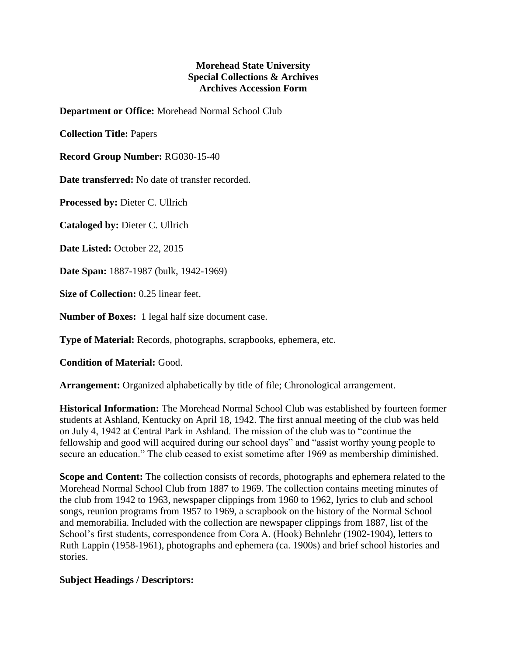## **Morehead State University Special Collections & Archives Archives Accession Form**

**Department or Office:** Morehead Normal School Club

**Collection Title:** Papers

**Record Group Number:** RG030-15-40

**Date transferred:** No date of transfer recorded.

**Processed by:** Dieter C. Ullrich

**Cataloged by:** Dieter C. Ullrich

**Date Listed:** October 22, 2015

**Date Span:** 1887-1987 (bulk, 1942-1969)

**Size of Collection:** 0.25 linear feet.

**Number of Boxes:** 1 legal half size document case.

**Type of Material:** Records, photographs, scrapbooks, ephemera, etc.

**Condition of Material:** Good.

**Arrangement:** Organized alphabetically by title of file; Chronological arrangement.

**Historical Information:** The Morehead Normal School Club was established by fourteen former students at Ashland, Kentucky on April 18, 1942. The first annual meeting of the club was held on July 4, 1942 at Central Park in Ashland. The mission of the club was to "continue the fellowship and good will acquired during our school days" and "assist worthy young people to secure an education." The club ceased to exist sometime after 1969 as membership diminished.

**Scope and Content:** The collection consists of records, photographs and ephemera related to the Morehead Normal School Club from 1887 to 1969. The collection contains meeting minutes of the club from 1942 to 1963, newspaper clippings from 1960 to 1962, lyrics to club and school songs, reunion programs from 1957 to 1969, a scrapbook on the history of the Normal School and memorabilia. Included with the collection are newspaper clippings from 1887, list of the School's first students, correspondence from Cora A. (Hook) Behnlehr (1902-1904), letters to Ruth Lappin (1958-1961), photographs and ephemera (ca. 1900s) and brief school histories and stories.

## **Subject Headings / Descriptors:**